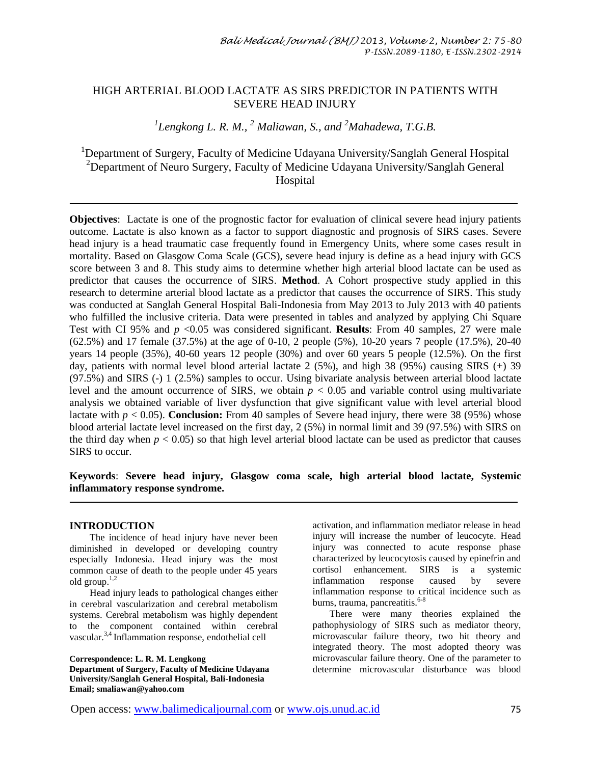# HIGH ARTERIAL BLOOD LACTATE AS SIRS PREDICTOR IN PATIENTS WITH SEVERE HEAD INJURY

*1 Lengkong L. R. M., <sup>2</sup> Maliawan, S., and <sup>2</sup>Mahadewa, T.G.B.*

<sup>1</sup>Department of Surgery, Faculty of Medicine Udayana University/Sanglah General Hospital <sup>2</sup>Department of Neuro Surgery, Faculty of Medicine Udayana University/Sanglah General Hospital

**Objectives**: Lactate is one of the prognostic factor for evaluation of clinical severe head injury patients outcome. Lactate is also known as a factor to support diagnostic and prognosis of SIRS cases. Severe head injury is a head traumatic case frequently found in Emergency Units, where some cases result in mortality. Based on Glasgow Coma Scale (GCS), severe head injury is define as a head injury with GCS score between 3 and 8. This study aims to determine whether high arterial blood lactate can be used as predictor that causes the occurrence of SIRS. **Method**. A Cohort prospective study applied in this research to determine arterial blood lactate as a predictor that causes the occurrence of SIRS. This study was conducted at Sanglah General Hospital Bali-Indonesia from May 2013 to July 2013 with 40 patients who fulfilled the inclusive criteria. Data were presented in tables and analyzed by applying Chi Square Test with CI 95% and  $p \le 0.05$  was considered significant. **Results**: From 40 samples, 27 were male (62.5%) and 17 female (37.5%) at the age of 0-10, 2 people (5%), 10-20 years 7 people (17.5%), 20-40 years 14 people (35%), 40-60 years 12 people (30%) and over 60 years 5 people (12.5%). On the first day, patients with normal level blood arterial lactate 2 (5%), and high 38 (95%) causing SIRS (+) 39 (97.5%) and SIRS (-) 1 (2.5%) samples to occur. Using bivariate analysis between arterial blood lactate level and the amount occurrence of SIRS, we obtain  $p < 0.05$  and variable control using multivariate analysis we obtained variable of liver dysfunction that give significant value with level arterial blood lactate with *p* < 0.05). **Conclusion:** From 40 samples of Severe head injury, there were 38 (95%) whose blood arterial lactate level increased on the first day, 2 (5%) in normal limit and 39 (97.5%) with SIRS on the third day when  $p < 0.05$ ) so that high level arterial blood lactate can be used as predictor that causes SIRS to occur.

**Keywords**: **Severe head injury, Glasgow coma scale, high arterial blood lactate, Systemic inflammatory response syndrome.**

#### **INTRODUCTION**

 The incidence of head injury have never been diminished in developed or developing country especially Indonesia. Head injury was the most common cause of death to the people under 45 years old group.<sup>1,2</sup>

 Head injury leads to pathological changes either in cerebral vascularization and cerebral metabolism systems. Cerebral metabolism was highly dependent to the component contained within cerebral vascular.<sup>3,4</sup> Inflammation response, endothelial cell

**Correspondence: L. R. M. Lengkong Department of Surgery, Faculty of Medicine Udayana University/Sanglah General Hospital, Bali-Indonesia Email; smaliawan@yahoo.com**

activation, and inflammation mediator release in head injury will increase the number of leucocyte. Head injury was connected to acute response phase characterized by leucocytosis caused by epinefrin and cortisol enhancement. SIRS is a systemic inflammation response caused by severe inflammation response to critical incidence such as burns, trauma, pancreatitis.<sup>6-8</sup>

 There were many theories explained the pathophysiology of SIRS such as mediator theory, microvascular failure theory, two hit theory and integrated theory. The most adopted theory was microvascular failure theory. One of the parameter to determine microvascular disturbance was blood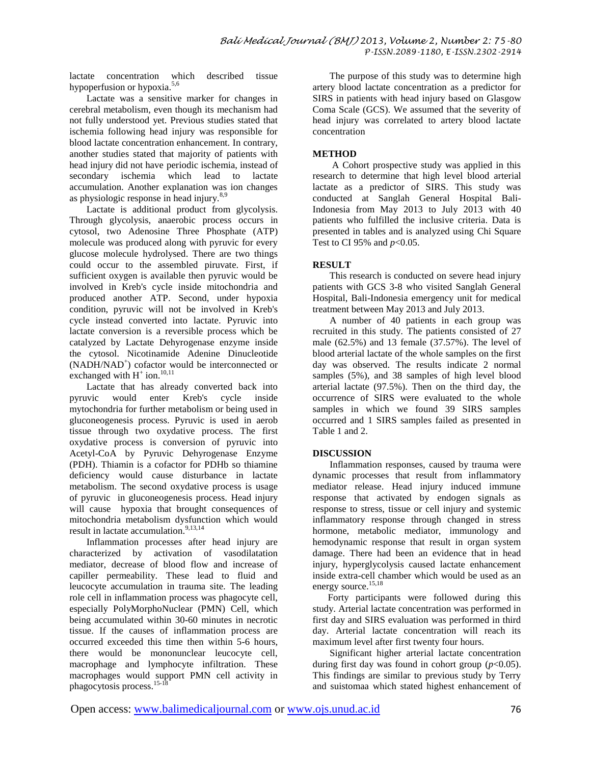lactate concentration which described tissue hypoperfusion or hypoxia.<sup>5,6</sup>

 Lactate was a sensitive marker for changes in cerebral metabolism, even though its mechanism had not fully understood yet. Previous studies stated that ischemia following head injury was responsible for blood lactate concentration enhancement. In contrary, another studies stated that majority of patients with head injury did not have periodic ischemia, instead of secondary ischemia which lead to lactate accumulation. Another explanation was ion changes as physiologic response in head injury.<sup>8,9</sup>

 Lactate is additional product from glycolysis. Through glycolysis, anaerobic process occurs in cytosol, two Adenosine Three Phosphate (ATP) molecule was produced along with pyruvic for every glucose molecule hydrolysed. There are two things could occur to the assembled piruvate. First, if sufficient oxygen is available then pyruvic would be involved in Kreb's cycle inside mitochondria and produced another ATP. Second, under hypoxia condition, pyruvic will not be involved in Kreb's cycle instead converted into lactate. Pyruvic into lactate conversion is a reversible process which be catalyzed by Lactate Dehyrogenase enzyme inside the cytosol. Nicotinamide Adenine Dinucleotide (NADH/NAD<sup>+</sup> ) cofactor would be interconnected or exchanged with  $H^+$  ion.<sup>10,11</sup>

 Lactate that has already converted back into pyruvic would enter Kreb's cycle inside mytochondria for further metabolism or being used in gluconeogenesis process. Pyruvic is used in aerob tissue through two oxydative process. The first oxydative process is conversion of pyruvic into Acetyl-CoA by Pyruvic Dehyrogenase Enzyme (PDH). Thiamin is a cofactor for PDHb so thiamine deficiency would cause disturbance in lactate metabolism. The second oxydative process is usage of pyruvic in gluconeogenesis process. Head injury will cause hypoxia that brought consequences of mitochondria metabolism dysfunction which would result in lactate accumulation.<sup>9,13,14</sup>

 Inflammation processes after head injury are characterized by activation of vasodilatation mediator, decrease of blood flow and increase of capiller permeability. These lead to fluid and leucocyte accumulation in trauma site. The leading role cell in inflammation process was phagocyte cell, especially PolyMorphoNuclear (PMN) Cell, which being accumulated within 30-60 minutes in necrotic tissue. If the causes of inflammation process are occurred exceeded this time then within 5-6 hours, there would be mononunclear leucocyte cell, macrophage and lymphocyte infiltration. These macrophages would support PMN cell activity in phagocytosis process.<sup>15-18</sup>

 The purpose of this study was to determine high artery blood lactate concentration as a predictor for SIRS in patients with head injury based on Glasgow Coma Scale (GCS). We assumed that the severity of head injury was correlated to artery blood lactate concentration

### **METHOD**

 A Cohort prospective study was applied in this research to determine that high level blood arterial lactate as a predictor of SIRS. This study was conducted at Sanglah General Hospital Bali-Indonesia from May 2013 to July 2013 with 40 patients who fulfilled the inclusive criteria. Data is presented in tables and is analyzed using Chi Square Test to CI 95% and *p*<0.05.

## **RESULT**

 This research is conducted on severe head injury patients with GCS 3-8 who visited Sanglah General Hospital, Bali-Indonesia emergency unit for medical treatment between May 2013 and July 2013.

 A number of 40 patients in each group was recruited in this study. The patients consisted of 27 male (62.5%) and 13 female (37.57%). The level of blood arterial lactate of the whole samples on the first day was observed. The results indicate 2 normal samples (5%), and 38 samples of high level blood arterial lactate (97.5%). Then on the third day, the occurrence of SIRS were evaluated to the whole samples in which we found 39 SIRS samples occurred and 1 SIRS samples failed as presented in Table 1 and 2.

## **DISCUSSION**

 Inflammation responses, caused by trauma were dynamic processes that result from inflammatory mediator release. Head injury induced immune response that activated by endogen signals as response to stress, tissue or cell injury and systemic inflammatory response through changed in stress hormone, metabolic mediator, immunology and hemodynamic response that result in organ system damage. There had been an evidence that in head injury, hyperglycolysis caused lactate enhancement inside extra-cell chamber which would be used as an energy source.<sup>15,18</sup>

Forty participants were followed during this study. Arterial lactate concentration was performed in first day and SIRS evaluation was performed in third day. Arterial lactate concentration will reach its maximum level after first twenty four hours.

 Significant higher arterial lactate concentration during first day was found in cohort group  $(p<0.05)$ . This findings are similar to previous study by Terry and suistomaa which stated highest enhancement of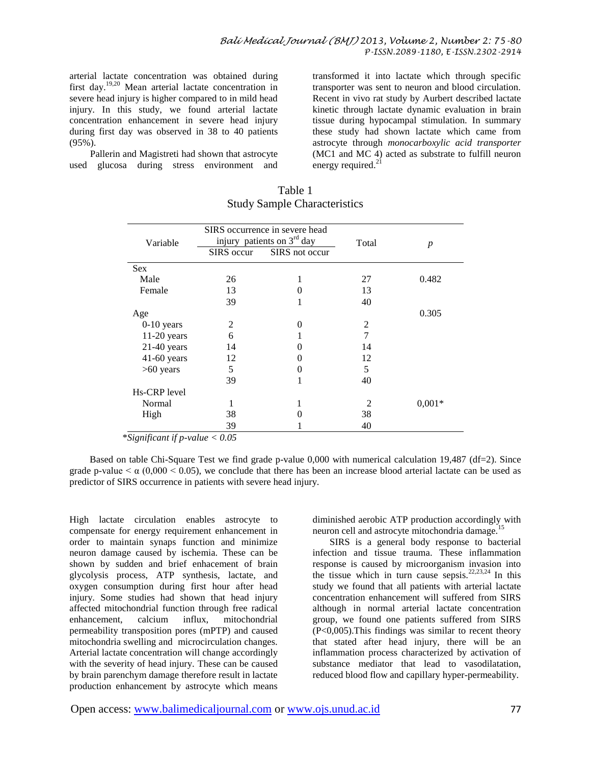arterial lactate concentration was obtained during first day.19,20 Mean arterial lactate concentration in severe head injury is higher compared to in mild head injury. In this study, we found arterial lactate concentration enhancement in severe head injury during first day was observed in 38 to 40 patients (95%).

Pallerin and Magistreti had shown that astrocyte used glucosa during stress environment and transformed it into lactate which through specific transporter was sent to neuron and blood circulation. Recent in vivo rat study by Aurbert described lactate kinetic through lactate dynamic evaluation in brain tissue during hypocampal stimulation. In summary these study had shown lactate which came from astrocyte through *monocarboxylic acid transporter* (MC1 and MC 4) acted as substrate to fulfill neuron energy required. $2<sup>1</sup>$ 

| Variable      | SIRS occurrence in severe head<br>injury patients on $3rd$ day |                   | Total          | $\boldsymbol{p}$ |
|---------------|----------------------------------------------------------------|-------------------|----------------|------------------|
|               | SIRS occur                                                     | SIRS not occur    |                |                  |
| <b>Sex</b>    |                                                                |                   |                |                  |
| Male          | 26                                                             | 1                 | 27             | 0.482            |
| Female        | 13                                                             | 0                 | 13             |                  |
|               | 39                                                             | 1                 | 40             |                  |
| Age           |                                                                |                   |                | 0.305            |
| $0-10$ years  | 2                                                              | 0                 | 2              |                  |
| $11-20$ years | 6                                                              |                   | 7              |                  |
| $21-40$ years | 14                                                             | $\mathbf{\Omega}$ | 14             |                  |
| $41-60$ years | 12                                                             | $\mathbf{\Omega}$ | 12             |                  |
| $>60$ years   | 5                                                              | $\theta$          | 5              |                  |
|               | 39                                                             |                   | 40             |                  |
| Hs-CRP level  |                                                                |                   |                |                  |
| Normal        |                                                                |                   | $\mathfrak{D}$ | $0.001*$         |
| High          | 38                                                             | 0                 | 38             |                  |
|               | 39                                                             |                   | 40             |                  |

#### Table 1 Study Sample Characteristics

\**Significant if p-value < 0.05*

Based on table Chi-Square Test we find grade p-value 0,000 with numerical calculation 19,487 (df=2). Since grade p-value  $\lt \alpha$  (0,000  $\lt$  0.05), we conclude that there has been an increase blood arterial lactate can be used as predictor of SIRS occurrence in patients with severe head injury.

High lactate circulation enables astrocyte to compensate for energy requirement enhancement in order to maintain synaps function and minimize neuron damage caused by ischemia. These can be shown by sudden and brief enhacement of brain glycolysis process, ATP synthesis, lactate, and oxygen consumption during first hour after head injury. Some studies had shown that head injury affected mitochondrial function through free radical enhancement, calcium influx, mitochondrial permeability transposition pores (mPTP) and caused mitochondria swelling and microcirculation changes. Arterial lactate concentration will change accordingly with the severity of head injury. These can be caused by brain parenchym damage therefore result in lactate production enhancement by astrocyte which means diminished aerobic ATP production accordingly with neuron cell and astrocyte mitochondria damage.<sup>1</sup>

 SIRS is a general body response to bacterial infection and tissue trauma. These inflammation response is caused by microorganism invasion into the tissue which in turn cause sepsis.<sup>22,23,24</sup> In this study we found that all patients with arterial lactate concentration enhancement will suffered from SIRS although in normal arterial lactate concentration group, we found one patients suffered from SIRS (P<0,005).This findings was similar to recent theory that stated after head injury, there will be an inflammation process characterized by activation of substance mediator that lead to vasodilatation, reduced blood flow and capillary hyper-permeability.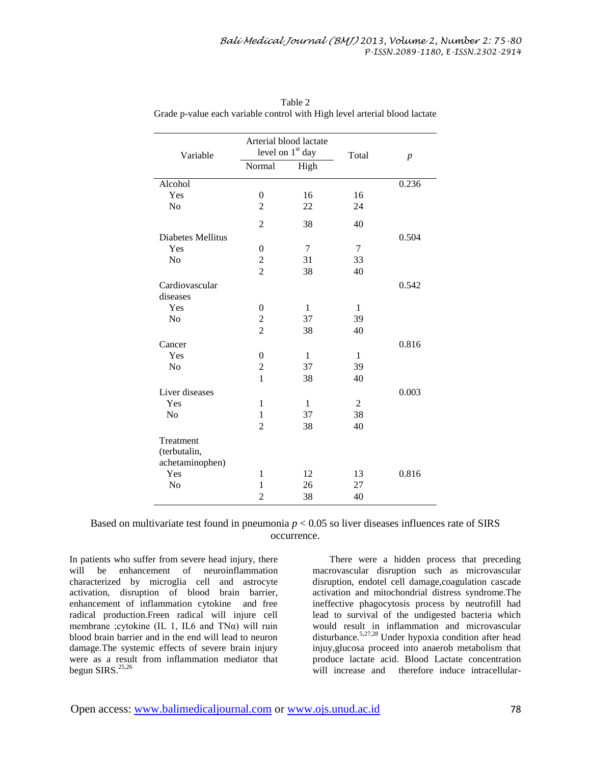| Variable                 | Arterial blood lactate<br>level on 1 <sup>st</sup> day |              | Total          | $\boldsymbol{p}$ |
|--------------------------|--------------------------------------------------------|--------------|----------------|------------------|
|                          | Normal                                                 | High         |                |                  |
| Alcohol                  |                                                        |              |                | 0.236            |
| Yes                      | $\theta$                                               | 16           | 16             |                  |
| N <sub>o</sub>           | $\overline{2}$                                         | 22           | 24             |                  |
|                          | $\overline{2}$                                         | 38           | 40             |                  |
| <b>Diabetes Mellitus</b> |                                                        |              |                | 0.504            |
| Yes                      | $\theta$                                               | 7            | $\tau$         |                  |
| N <sub>o</sub>           | $\overline{c}$                                         | 31           | 33             |                  |
|                          | $\overline{2}$                                         | 38           | 40             |                  |
| Cardiovascular           |                                                        |              |                | 0.542            |
| diseases                 |                                                        |              |                |                  |
| Yes                      | $\theta$                                               | $\mathbf{1}$ | $\mathbf{1}$   |                  |
| N <sub>o</sub>           | $\overline{2}$                                         | 37           | 39             |                  |
|                          | $\overline{2}$                                         | 38           | 40             |                  |
| Cancer                   |                                                        |              |                | 0.816            |
| Yes                      | $\theta$                                               | 1            | $\mathbf{1}$   |                  |
| N <sub>o</sub>           | $\overline{c}$                                         | 37           | 39             |                  |
|                          | $\mathbf{1}$                                           | 38           | 40             |                  |
| Liver diseases           |                                                        |              |                | 0.003            |
| Yes                      | $\mathbf{1}$                                           | $\mathbf{1}$ | $\mathfrak{2}$ |                  |
| No                       | $\mathbf{1}$                                           | 37           | 38             |                  |
|                          | $\overline{2}$                                         | 38           | 40             |                  |
| Treatment                |                                                        |              |                |                  |
| (terbutalin,             |                                                        |              |                |                  |
| achetaminophen)          |                                                        |              |                |                  |
| Yes                      | $\mathbf{1}$                                           | 12           | 13             | 0.816            |
| N <sub>o</sub>           | 1                                                      | 26           | 27             |                  |
|                          | $\overline{2}$                                         | 38           | 40             |                  |

Table 2 Grade p-value each variable control with High level arterial blood lactate

Based on multivariate test found in pneumonia *p* < 0.05 so liver diseases influences rate of SIRS occurrence.

In patients who suffer from severe head injury, there will be enhancement of neuroinflammation characterized by microglia cell and astrocyte activation, disruption of blood brain barrier, enhancement of inflammation cytokine and free radical production.Freen radical will injure cell membrane ;cytokine (IL 1, IL6 and TN $\alpha$ ) will ruin blood brain barrier and in the end will lead to neuron damage.The systemic effects of severe brain injury were as a result from inflammation mediator that begun SIRS.<sup>25,26</sup>

 There were a hidden process that preceding macrovascular disruption such as microvascular disruption, endotel cell damage,coagulation cascade activation and mitochondrial distress syndrome.The ineffective phagocytosis process by neutrofill had lead to survival of the undigested bacteria which would result in inflammation and microvascular disturbance.<sup>5,27,28</sup> Under hypoxia condition after head injuy,glucosa proceed into anaerob metabolism that produce lactate acid. Blood Lactate concentration will increase and therefore induce intracellular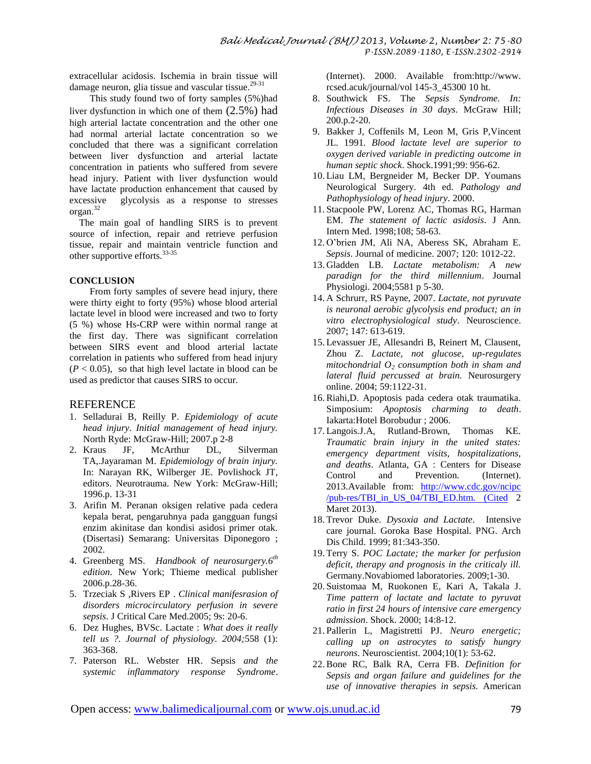extracellular acidosis. Ischemia in brain tissue will damage neuron, glia tissue and vascular tissue.<sup>29-31</sup>

 This study found two of forty samples (5%)had liver dysfunction in which one of them (2.5%) had high arterial lactate concentration and the other one had normal arterial lactate concentration so we concluded that there was a significant correlation between liver dysfunction and arterial lactate concentration in patients who suffered from severe head injury. Patient with liver dysfunction would have lactate production enhancement that caused by excessive glycolysis as a response to stresses organ.<sup>32</sup>

 The main goal of handling SIRS is to prevent source of infection, repair and retrieve perfusion tissue, repair and maintain ventricle function and other supportive efforts.33-35

#### **CONCLUSION**

 From forty samples of severe head injury, there were thirty eight to forty (95%) whose blood arterial lactate level in blood were increased and two to forty (5 %) whose Hs-CRP were within normal range at the first day. There was significant correlation between SIRS event and blood arterial lactate correlation in patients who suffered from head injury  $(P < 0.05)$ , so that high level lactate in blood can be used as predictor that causes SIRS to occur.

#### **REFERENCE**

- 1. Selladurai B, Reilly P. *Epidemiology of acute head injury*. *Initial management of head injury.* North Ryde: McGraw-Hill; 2007.p 2-8
- 2. Kraus JF, McArthur DL, Silverman TA,.Jayaraman M. *Epidemiology of brain injury.* In: Narayan RK, Wilberger JE. Povlishock JT, editors. Neurotrauma. New York: McGraw-Hill; 1996.p. 13-31
- 3. Arifin M. Peranan oksigen relative pada cedera kepala berat, pengaruhnya pada gangguan fungsi enzim akinitase dan kondisi asidosi primer otak. (Disertasi) Semarang: Universitas Diponegoro ; 2002.
- 4. Greenberg MS. *Handbook of neurosurgery.6th edition*. New York; Thieme medical publisher 2006.p.28-36.
- 5. Trzeciak S ,Rivers EP . *Clinical manifesrasion of disorders microcirculatory perfusion in severe sepsis*. J Critical Care Med.2005; 9s: 20-6.
- 6. Dez Hughes, BVSc. Lactate : *What does it really tell us ?. Journal of physiology. 2004;*558 (1): 363-368.
- 7. Paterson RL. Webster HR. Sepsis *and the systemic inflammatory response Syndrome*.

(Internet). 2000. Available from:http://www. rcsed.acuk/journal/vol 145-3\_45300 10 ht.

- 8. Southwick FS. The *Sepsis Syndrome. In: Infectious Diseases in 30 days*. McGraw Hill; 200.p.2-20.
- 9. Bakker J, Coffenils M, Leon M, Gris P,Vincent JL. 1991*. Blood lactate level are superior to oxygen derived variable in predicting outcome in human septic shock*. Shock.1991;99: 956-62.
- 10. Liau LM, Bergneider M, Becker DP. Youmans Neurological Surgery. 4th ed. *Pathology and Pathophysiology of head injury*. 2000.
- 11. Stacpoole PW, Lorenz AC, Thomas RG, Harman EM. *The statement of lactic asidosis*. J Ann. Intern Med. 1998;108; 58-63.
- 12. O'brien JM, Ali NA, Aberess SK, Abraham E. *Sepsis*. Journal of medicine. 2007; 120: 1012-22.
- 13. Gladden LB. *Lactate metabolism: A new paradign for the third millennium*. Journal Physiologi. 2004;5581 p 5-30.
- 14. A Schrurr, RS Payne, 2007. *Lactate, not pyruvate is neuronal aerobic glycolysis end product; an in vitro electrophysiological study*. Neuroscience. 2007; 147: 613-619.
- 15. Levassuer JE, Allesandri B, Reinert M, Clausent, Zhou Z. *Lactate, not glucose, up-regulates mitochondrial O<sup>2</sup> consumption both in sham and lateral fluid percussed at brain.* Neurosurgery online. 2004; 59:1122-31.
- 16.Riahi,D. Apoptosis pada cedera otak traumatika. Simposium: *Apoptosis charming to death*. Iakarta:Hotel Borobudur ; 2006.
- 17. Langois.J.A, Rutland-Brown, Thomas KE. *Traumatic brain injury in the united states: emergency department visits, hospitalizations, and deaths*. Atlanta, GA : Centers for Disease Control and Prevention. (Internet). 2013.Available from: [http://www.cdc.gov/ncipc](http://www.cdc.gov/ncipc%20/pub-res/TBI_in_US_04/TBI_ED.htm.%20(Cited) [/pub-res/TBI\\_in\\_US\\_04/TBI\\_ED.htm.](http://www.cdc.gov/ncipc%20/pub-res/TBI_in_US_04/TBI_ED.htm.%20(Cited) (Cited 2 Maret 2013).
- 18. Trevor Duke. *Dysoxia and Lactate*. Intensive care journal. Goroka Base Hospital. PNG. Arch Dis Child. 1999; 81:343-350.
- 19. Terry S. *POC Lactate; the marker for perfusion deficit, therapy and prognosis in the criticaly ill.* Germany.Novabiomed laboratories. 2009;1-30.
- 20. Suistomaa M, Ruokonen E, Kari A, Takala J. *Time pattern of lactate and lactate to pyruvat ratio in first 24 hours of intensive care emergency admission*. Shock. 2000; 14:8-12.
- 21. Pallerin L, Magistretti PJ. *Neuro energetic; calling up on astrocytes to satisfy hungry neurons*. Neuroscientist. 2004;10(1): 53-62.
- 22.Bone RC, Balk RA, Cerra FB. *Definition for Sepsis and organ failure and guidelines for the use of innovative therapies in sepsis.* American